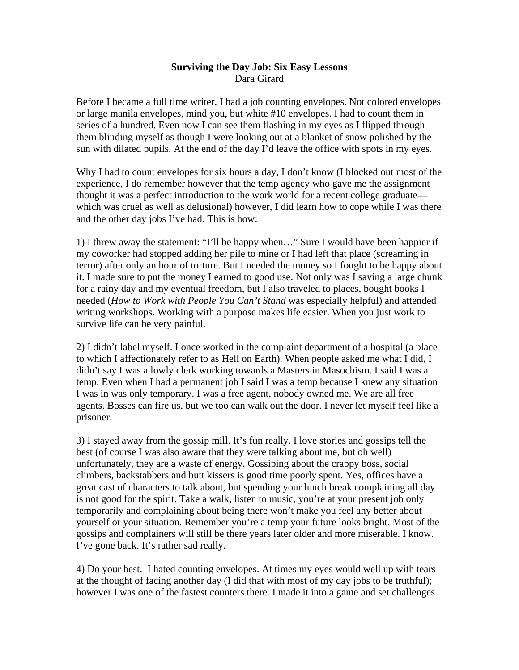## **Surviving the Day Job: Six Easy Lessons**  Dara Girard

Before I became a full time writer, I had a job counting envelopes. Not colored envelopes or large manila envelopes, mind you, but white #10 envelopes. I had to count them in series of a hundred. Even now I can see them flashing in my eyes as I flipped through them blinding myself as though I were looking out at a blanket of snow polished by the sun with dilated pupils. At the end of the day I'd leave the office with spots in my eyes.

Why I had to count envelopes for six hours a day, I don't know (I blocked out most of the experience, I do remember however that the temp agency who gave me the assignment thought it was a perfect introduction to the work world for a recent college graduate which was cruel as well as delusional) however, I did learn how to cope while I was there and the other day jobs I've had. This is how:

1) I threw away the statement: "I'll be happy when…" Sure I would have been happier if my coworker had stopped adding her pile to mine or I had left that place (screaming in terror) after only an hour of torture. But I needed the money so I fought to be happy about it. I made sure to put the money I earned to good use. Not only was I saving a large chunk for a rainy day and my eventual freedom, but I also traveled to places, bought books I needed (*How to Work with People You Can't Stand* was especially helpful) and attended writing workshops. Working with a purpose makes life easier. When you just work to survive life can be very painful.

2) I didn't label myself. I once worked in the complaint department of a hospital (a place to which I affectionately refer to as Hell on Earth). When people asked me what I did, I didn't say I was a lowly clerk working towards a Masters in Masochism. I said I was a temp. Even when I had a permanent job I said I was a temp because I knew any situation I was in was only temporary. I was a free agent, nobody owned me. We are all free agents. Bosses can fire us, but we too can walk out the door. I never let myself feel like a prisoner.

3) I stayed away from the gossip mill. It's fun really. I love stories and gossips tell the best (of course I was also aware that they were talking about me, but oh well) unfortunately, they are a waste of energy. Gossiping about the crappy boss, social climbers, backstabbers and butt kissers is good time poorly spent. Yes, offices have a great cast of characters to talk about, but spending your lunch break complaining all day is not good for the spirit. Take a walk, listen to music, you're at your present job only temporarily and complaining about being there won't make you feel any better about yourself or your situation. Remember you're a temp your future looks bright. Most of the gossips and complainers will still be there years later older and more miserable. I know. I've gone back. It's rather sad really.

4) Do your best. I hated counting envelopes. At times my eyes would well up with tears at the thought of facing another day (I did that with most of my day jobs to be truthful); however I was one of the fastest counters there. I made it into a game and set challenges